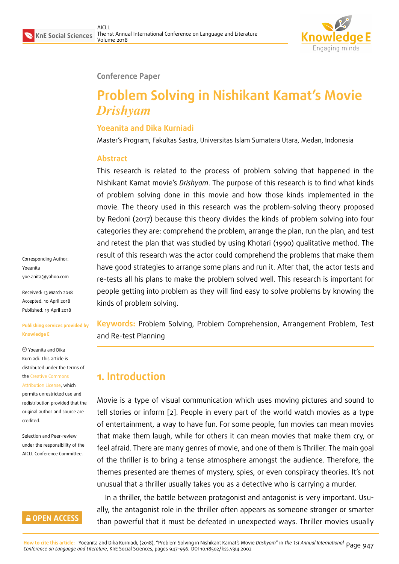

#### **Conference Paper**

# **Problem Solving in Nishikant Kamat's Movie** *Drishyam*

### **Yoeanita and Dika Kurniadi**

Master's Program, Fakultas Sastra, Universitas Islam Sumatera Utara, Medan, Indonesia

#### **Abstract**

This research is related to the process of problem solving that happened in the Nishikant Kamat movie's *Drishyam*. The purpose of this research is to find what kinds of problem solving done in this movie and how those kinds implemented in the movie. The theory used in this research was the problem-solving theory proposed by Redoni (2017) because this theory divides the kinds of problem solving into four categories they are: comprehend the problem, arrange the plan, run the plan, and test and retest the plan that was studied by using Khotari (1990) qualitative method. The result of this research was the actor could comprehend the problems that make them have good strategies to arrange some plans and run it. After that, the actor tests and re-tests all his plans to make the problem solved well. This research is important for people getting into problem as they will find easy to solve problems by knowing the kinds of problem solving.

**Keywords:** Problem Solving, Problem Comprehension, Arrangement Problem, Test and Re-test Planning

# **1. Introduction**

Movie is a type of visual communication which uses moving pictures and sound to tell stories or inform [2]. People in every part of the world watch movies as a type of entertainment, a way to have fun. For some people, fun movies can mean movies that make them laugh, while for others it can mean movies that make them cry, or feel afraid. There are [ma](#page-8-0)ny genres of movie, and one of them is Thriller. The main goal of the thriller is to bring a tense atmosphere amongst the audience. Therefore, the themes presented are themes of mystery, spies, or even conspiracy theories. It's not unusual that a thriller usually takes you as a detective who is carrying a murder.

In a thriller, the battle between protagonist and antagonist is very important. Usually, the antagonist role in the thriller often appears as someone stronger or smarter than powerful that it must be defeated in unexpected ways. Thriller movies usually

Corresponding Author: Yoeanita yoe.anita@yahoo.com

Received: 13 March 2018 Accepted: 10 April 2018 [Published: 19 April 2018](mailto:yoe.anita@yahoo.com)

#### **Publishing services provided by Knowledge E**

Yoeanita and Dika Kurniadi. This article is distributed under the terms of the Creative Commons Attribution License, which permits unrestricted use and redistribution provided that the ori[ginal author and sou](https://creativecommons.org/licenses/by/4.0/)rce are

Selection and Peer-review under the responsibility of the AICLL Conference Committee.

[credited.](https://creativecommons.org/licenses/by/4.0/)

## **GOPEN ACCESS**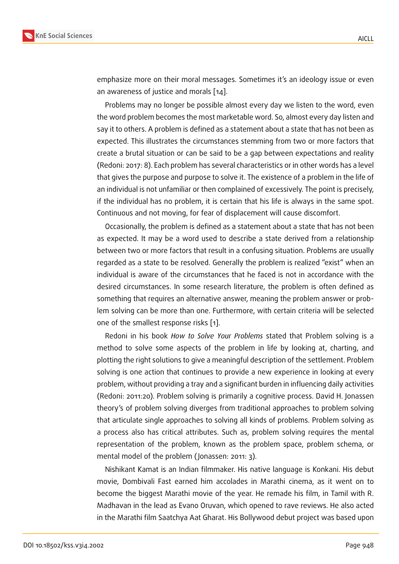emphasize more on their moral messages. Sometimes it's an ideology issue or even an awareness of justice and morals [14].

Problems may no longer be possible almost every day we listen to the word, even the word problem becomes the most marketable word. So, almost every day listen and say it to others. A problem is defined [as](#page-9-0) a statement about a state that has not been as expected. This illustrates the circumstances stemming from two or more factors that create a brutal situation or can be said to be a gap between expectations and reality (Redoni: 2017: 8). Each problem has several characteristics or in other words has a level that gives the purpose and purpose to solve it. The existence of a problem in the life of an individual is not unfamiliar or then complained of excessively. The point is precisely, if the individual has no problem, it is certain that his life is always in the same spot. Continuous and not moving, for fear of displacement will cause discomfort.

Occasionally, the problem is defined as a statement about a state that has not been as expected. It may be a word used to describe a state derived from a relationship between two or more factors that result in a confusing situation. Problems are usually regarded as a state to be resolved. Generally the problem is realized "exist" when an individual is aware of the circumstances that he faced is not in accordance with the desired circumstances. In some research literature, the problem is often defined as something that requires an alternative answer, meaning the problem answer or problem solving can be more than one. Furthermore, with certain criteria will be selected one of the smallest response risks [1].

Redoni in his book *How to Solve Your Problems* stated that Problem solving is a method to solve some aspects of the problem in life by looking at, charting, and plotting the right solutions to give a [m](#page-8-1)eaningful description of the settlement. Problem solving is one action that continues to provide a new experience in looking at every problem, without providing a tray and a significant burden in influencing daily activities (Redoni: 2011:20). Problem solving is primarily a cognitive process. David H. Jonassen theory's of problem solving diverges from traditional approaches to problem solving that articulate single approaches to solving all kinds of problems. Problem solving as a process also has critical attributes. Such as, problem solving requires the mental representation of the problem, known as the problem space, problem schema, or mental model of the problem ( Jonassen: 2011: 3).

Nishikant Kamat is an Indian filmmaker. His native language is Konkani. His debut movie, Dombivali Fast earned him accolades in Marathi cinema, as it went on to become the biggest Marathi movie of the year. He remade his film, in Tamil with R. Madhavan in the lead as Evano Oruvan, which opened to rave reviews. He also acted in the Marathi film Saatchya Aat Gharat. His Bollywood debut project was based upon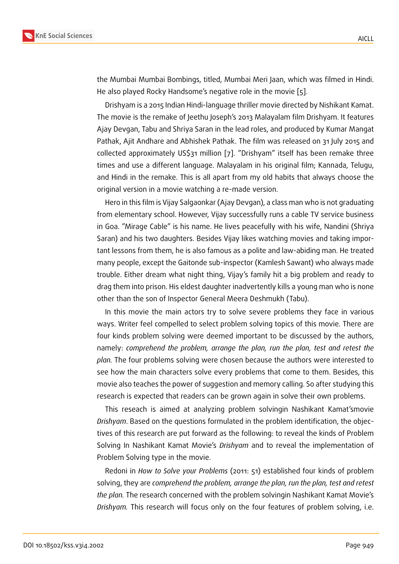the Mumbai Mumbai Bombings, titled, Mumbai Meri Jaan, which was filmed in Hindi. He also played Rocky Handsome's negative role in the movie [5].

Drishyam is a 2015 Indian Hindi-language thriller movie directed by Nishikant Kamat. The movie is the remake of Jeethu Joseph's 2013 Malayalam film Drishyam. It features Ajay Devgan, Tabu and Shriya Saran in the lead roles, and prod[uc](#page-8-2)ed by Kumar Mangat Pathak, Ajit Andhare and Abhishek Pathak. The film was released on 31 July 2015 and collected approximately US\$31 million [7]. "Drishyam" itself has been remake three times and use a different language. Malayalam in his original film; Kannada, Telugu, and Hindi in the remake. This is all apart from my old habits that always choose the original version in a movie watching a r[e-](#page-8-3)made version.

Hero in this film is Vijay Salgaonkar (Ajay Devgan), a class man who is not graduating from elementary school. However, Vijay successfully runs a cable TV service business in Goa. "Mirage Cable" is his name. He lives peacefully with his wife, Nandini (Shriya Saran) and his two daughters. Besides Vijay likes watching movies and taking important lessons from them, he is also famous as a polite and law-abiding man. He treated many people, except the Gaitonde sub-inspector (Kamlesh Sawant) who always made trouble. Either dream what night thing, Vijay's family hit a big problem and ready to drag them into prison. His eldest daughter inadvertently kills a young man who is none other than the son of Inspector General Meera Deshmukh (Tabu).

In this movie the main actors try to solve severe problems they face in various ways. Writer feel compelled to select problem solving topics of this movie. There are four kinds problem solving were deemed important to be discussed by the authors, namely: *comprehend the problem, arrange the plan, run the plan, test and retest the plan.* The four problems solving were chosen because the authors were interested to see how the main characters solve every problems that come to them. Besides, this movie also teaches the power of suggestion and memory calling. So after studying this research is expected that readers can be grown again in solve their own problems.

This reseach is aimed at analyzing problem solvingin Nashikant Kamat'smovie *Drishyam*. Based on the questions formulated in the problem identification, the objectives of this research are put forward as the following: to reveal the kinds of Problem Solving In Nashikant Kamat Movie's *Drishyam* and to reveal the implementation of Problem Solving type in the movie.

Redoni in *How to Solve your Problems* (2011: 51) established four kinds of problem solving, they are *comprehend the problem, arrange the plan, run the plan, test and retest the plan.* The research concerned with the problem solvingin Nashikant Kamat Movie's *Drishyam.* This research will focus only on the four features of problem solving, i.e.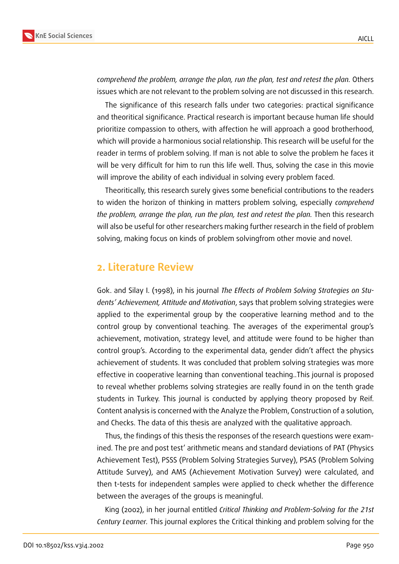

*comprehend the problem, arrange the plan, run the plan, test and retest the plan.* Others issues which are not relevant to the problem solving are not discussed in this research.

The significance of this research falls under two categories: practical significance and theoritical significance. Practical research is important because human life should prioritize compassion to others, with affection he will approach a good brotherhood, which will provide a harmonious social relationship. This research will be useful for the reader in terms of problem solving. If man is not able to solve the problem he faces it will be very difficult for him to run this life well. Thus, solving the case in this movie will improve the ability of each individual in solving every problem faced.

Theoritically, this research surely gives some beneficial contributions to the readers to widen the horizon of thinking in matters problem solving, especially *comprehend the problem, arrange the plan, run the plan, test and retest the plan.* Then this research will also be useful for other researchers making further research in the field of problem solving, making focus on kinds of problem solvingfrom other movie and novel.

## **2. Literature Review**

Gok. and Silay I. (1998), in his journal *The Effects of Problem Solving Strategies on Students' Achievement, Attitude and Motivation*, says that problem solving strategies were applied to the experimental group by the cooperative learning method and to the control group by conventional teaching. The averages of the experimental group's achievement, motivation, strategy level, and attitude were found to be higher than control group's. According to the experimental data, gender didn't affect the physics achievement of students. It was concluded that problem solving strategies was more effective in cooperative learning than conventional teaching..This journal is proposed to reveal whether problems solving strategies are really found in on the tenth grade students in Turkey. This journal is conducted by applying theory proposed by Reif. Content analysis is concerned with the Analyze the Problem, Construction of a solution, and Checks. The data of this thesis are analyzed with the qualitative approach.

Thus, the findings of this thesis the responses of the research questions were examined. The pre and post test' arithmetic means and standard deviations of PAT (Physics Achievement Test), PSSS (Problem Solving Strategies Survey), PSAS (Problem Solving Attitude Survey), and AMS (Achievement Motivation Survey) were calculated, and then t-tests for independent samples were applied to check whether the difference between the averages of the groups is meaningful.

King (2002), in her journal entitled *Critical Thinking and Problem-Solving for the 21st Century Learner.* This journal explores the Critical thinking and problem solving for the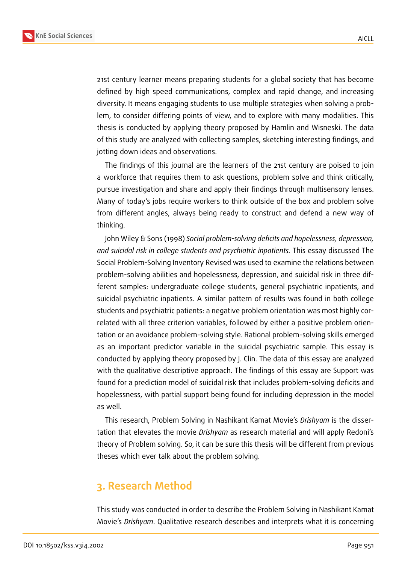

21st century learner means preparing students for a global society that has become defined by high speed communications, complex and rapid change, and increasing diversity. It means engaging students to use multiple strategies when solving a problem, to consider differing points of view, and to explore with many modalities. This thesis is conducted by applying theory proposed by Hamlin and Wisneski. The data of this study are analyzed with collecting samples, sketching interesting findings, and jotting down ideas and observations.

The findings of this journal are the learners of the 21st century are poised to join a workforce that requires them to ask questions, problem solve and think critically, pursue investigation and share and apply their findings through multisensory lenses. Many of today's jobs require workers to think outside of the box and problem solve from different angles, always being ready to construct and defend a new way of thinking.

John Wiley & Sons (1998) *Social problem-solving deficits and hopelessness, depression, and suicidal risk in college students and psychiatric inpatients.* This essay discussed The Social Problem-Solving Inventory Revised was used to examine the relations between problem-solving abilities and hopelessness, depression, and suicidal risk in three different samples: undergraduate college students, general psychiatric inpatients, and suicidal psychiatric inpatients. A similar pattern of results was found in both college students and psychiatric patients: a negative problem orientation was most highly correlated with all three criterion variables, followed by either a positive problem orientation or an avoidance problem-solving style. Rational problem-solving skills emerged as an important predictor variable in the suicidal psychiatric sample. This essay is conducted by applying theory proposed by J. Clin. The data of this essay are analyzed with the qualitative descriptive approach. The findings of this essay are Support was found for a prediction model of suicidal risk that includes problem-solving deficits and hopelessness, with partial support being found for including depression in the model as well.

This research, Problem Solving in Nashikant Kamat Movie's *Drishyam* is the dissertation that elevates the movie *Drishyam* as research material and will apply Redoni's theory of Problem solving. So, it can be sure this thesis will be different from previous theses which ever talk about the problem solving.

# **3. Research Method**

This study was conducted in order to describe the Problem Solving in Nashikant Kamat Movie's *Drishyam*. Qualitative research describes and interprets what it is concerning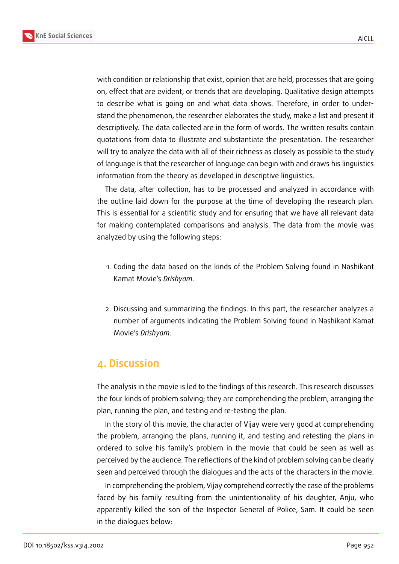

with condition or relationship that exist, opinion that are held, processes that are going on, effect that are evident, or trends that are developing. Qualitative design attempts to describe what is going on and what data shows. Therefore, in order to understand the phenomenon, the researcher elaborates the study, make a list and present it descriptively. The data collected are in the form of words. The written results contain quotations from data to illustrate and substantiate the presentation. The researcher will try to analyze the data with all of their richness as closely as possible to the study of language is that the researcher of language can begin with and draws his linguistics information from the theory as developed in descriptive linguistics.

The data, after collection, has to be processed and analyzed in accordance with the outline laid down for the purpose at the time of developing the research plan. This is essential for a scientific study and for ensuring that we have all relevant data for making contemplated comparisons and analysis. The data from the movie was analyzed by using the following steps:

- 1. Coding the data based on the kinds of the Problem Solving found in Nashikant Kamat Movie's *Drishyam*.
- 2. Discussing and summarizing the findings. In this part, the researcher analyzes a number of arguments indicating the Problem Solving found in Nashikant Kamat Movie's *Drishyam*.

# **4. Discussion**

The analysis in the movie is led to the findings of this research. This research discusses the four kinds of problem solving; they are comprehending the problem, arranging the plan, running the plan, and testing and re-testing the plan.

In the story of this movie, the character of Vijay were very good at comprehending the problem, arranging the plans, running it, and testing and retesting the plans in ordered to solve his family's problem in the movie that could be seen as well as perceived by the audience. The reflections of the kind of problem solving can be clearly seen and perceived through the dialogues and the acts of the characters in the movie.

In comprehending the problem, Vijay comprehend correctly the case of the problems faced by his family resulting from the unintentionality of his daughter, Anju, who apparently killed the son of the Inspector General of Police, Sam. It could be seen in the dialogues below: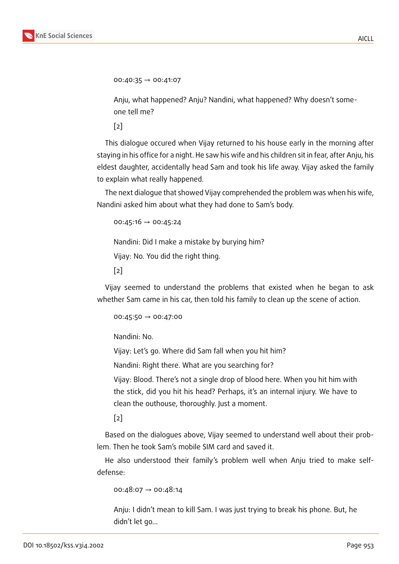$00:40:35 \rightarrow 00:41:07$ 

Anju, what happened? Anju? Nandini, what happened? Why doesn't someone tell me?

 $\lceil 2 \rceil$ 

This dialogue occured when Vijay returned to his house early in the morning after stayi[ng](#page-8-0) in his office for a night. He saw his wife and his children sit in fear, after Anju, his eldest daughter, accidentally head Sam and took his life away. Vijay asked the family to explain what really happened.

The next dialogue that showed Vijay comprehended the problem was when his wife, Nandini asked him about what they had done to Sam's body.

00:45:16  $\rightarrow$  00:45:24

Nandini: Did I make a mistake by burying him?

Vijay: No. You did the right thing.

[2]

Vijay seemed to understand the problems that existed when he began to ask whet[he](#page-8-0)r Sam came in his car, then told his family to clean up the scene of action.

 $00:45:50 \rightarrow 00:47:00$ 

Nandini: No.

Vijay: Let's go. Where did Sam fall when you hit him?

Nandini: Right there. What are you searching for?

Vijay: Blood. There's not a single drop of blood here. When you hit him with the stick, did you hit his head? Perhaps, it's an internal injury. We have to clean the outhouse, thoroughly. Just a moment.

 $\lceil 2 \rceil$ 

Based on the dialogues above, Vijay seemed to understand well about their problem. [Th](#page-8-0)en he took Sam's mobile SIM card and saved it.

He also understood their family's problem well when Anju tried to make selfdefense:

00:48:07  $\rightarrow$  00:48:14

Anju: I didn't mean to kill Sam. I was just trying to break his phone. But, he didn't let go...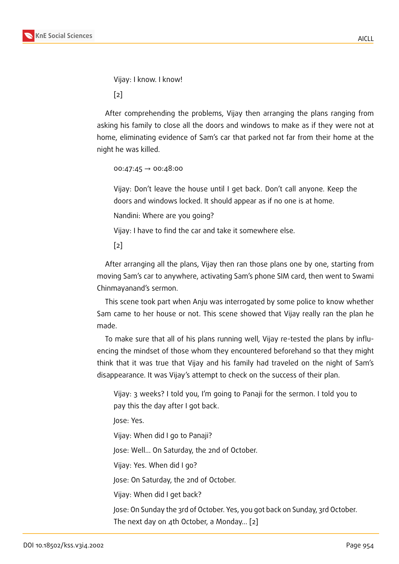Vijay: I know. I know!

[2]

After comprehending the problems, Vijay then arranging the plans ranging from askin[g](#page-8-0) his family to close all the doors and windows to make as if they were not at home, eliminating evidence of Sam's car that parked not far from their home at the night he was killed.

```
00:47:45 \rightarrow 00:48:00
```
Vijay: Don't leave the house until I get back. Don't call anyone. Keep the doors and windows locked. It should appear as if no one is at home.

Nandini: Where are you going?

Vijay: I have to find the car and take it somewhere else.

 $\lceil 2 \rceil$ 

After arranging all the plans, Vijay then ran those plans one by one, starting from movi[ng](#page-8-0) Sam's car to anywhere, activating Sam's phone SIM card, then went to Swami Chinmayanand's sermon.

This scene took part when Anju was interrogated by some police to know whether Sam came to her house or not. This scene showed that Vijay really ran the plan he made.

To make sure that all of his plans running well, Vijay re-tested the plans by influencing the mindset of those whom they encountered beforehand so that they might think that it was true that Vijay and his family had traveled on the night of Sam's disappearance. It was Vijay's attempt to check on the success of their plan.

Vijay: 3 weeks? I told you, I'm going to Panaji for the sermon. I told you to pay this the day after I got back.

Jose: Yes.

Vijay: When did I go to Panaji?

Jose: Well... On Saturday, the 2nd of October.

Vijay: Yes. When did I go?

Jose: On Saturday, the 2nd of October.

Vijay: When did I get back?

Jose: On Sunday the 3rd of October. Yes, you got back on Sunday, 3rd October. The next day on 4th October, a Monday... [2]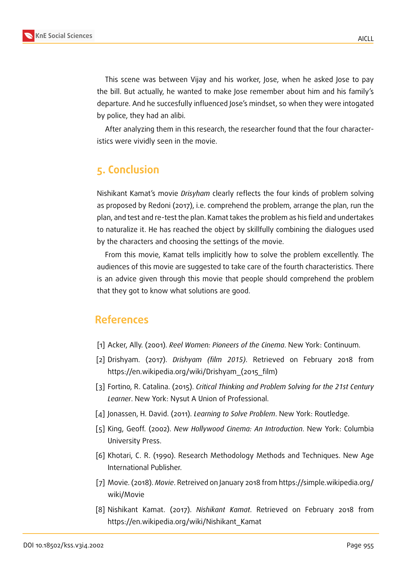

This scene was between Vijay and his worker, Jose, when he asked Jose to pay the bill. But actually, he wanted to make Jose remember about him and his family's departure. And he succesfully influenced Jose's mindset, so when they were intogated by police, they had an alibi.

After analyzing them in this research, the researcher found that the four characteristics were vividly seen in the movie.

# **5. Conclusion**

Nishikant Kamat's movie *Drisyham* clearly reflects the four kinds of problem solving as proposed by Redoni (2017), i.e. comprehend the problem, arrange the plan, run the plan, and test and re-test the plan. Kamat takes the problem as his field and undertakes to naturalize it. He has reached the object by skillfully combining the dialogues used by the characters and choosing the settings of the movie.

From this movie, Kamat tells implicitly how to solve the problem excellently. The audiences of this movie are suggested to take care of the fourth characteristics. There is an advice given through this movie that people should comprehend the problem that they got to know what solutions are good.

# **References**

- <span id="page-8-1"></span>[1] Acker, Ally. (2001). *Reel Women: Pioneers of the Cinema*. New York: Continuum.
- <span id="page-8-0"></span>[2] Drishyam. (2017). *Drishyam (film 2015)*. Retrieved on February 2018 from https://en.wikipedia.org/wiki/Drishyam\_(2015\_film)
- [3] Fortino, R. Catalina. (2015). *Critical Thinking and Problem Solving for the 21st Century Learner*. New York: Nysut A Union of Professional.
- [4] Jonassen, H. David. (2011). *Learning to Solve Problem*. New York: Routledge.
- <span id="page-8-2"></span>[5] King, Geoff. (2002). *New Hollywood Cinema: An Introduction*. New York: Columbia University Press.
- [6] Khotari, C. R. (1990). Research Methodology Methods and Techniques. New Age International Publisher.
- <span id="page-8-3"></span>[7] Movie. (2018). *Movie*. Retreived on January 2018 from https://simple.wikipedia.org/ wiki/Movie
- [8] Nishikant Kamat. (2017). *Nishikant Kamat*. Retrieved on February 2018 from https://en.wikipedia.org/wiki/Nishikant\_Kamat